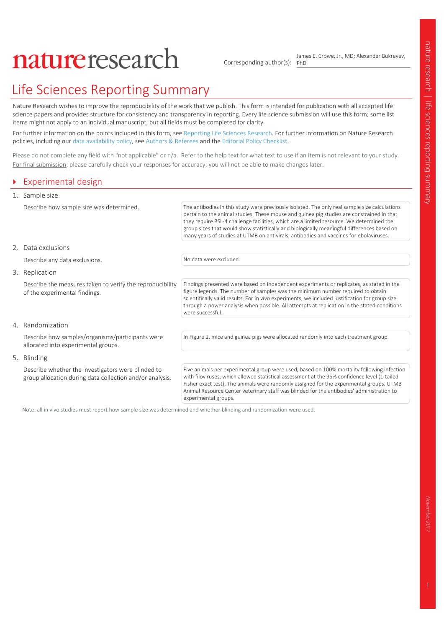# natureresearch

Corresponding author(s): PhD James E. Crowe, Jr., MD; Alexander Bukreyev,

# Life Sciences Reporting Summary

Nature Research wishes to improve the reproducibility of the work that we publish. This form is intended for publication with all accepted life science papers and provides structure for consistency and transparency in reporting. Every life science submission will use this form; some list items might not apply to an individual manuscript, but all fields must be completed for clarity.

For further information on the points included in this form, see Reporting Life Sciences Research. For further information on Nature Research policies, including our data availability policy, see Authors & Referees and the Editorial Policy Checklist.

Please do not complete any field with "not applicable" or n/a. Refer to the help text for what text to use if an item is not relevant to your study. For final submission: please carefully check your responses for accuracy; you will not be able to make changes later.

### ` Experimental design

|  | 1. Sample size                                                                                                 |                                                                                                                                                                                                                                                                                                                                                                                                                                                                                |  |
|--|----------------------------------------------------------------------------------------------------------------|--------------------------------------------------------------------------------------------------------------------------------------------------------------------------------------------------------------------------------------------------------------------------------------------------------------------------------------------------------------------------------------------------------------------------------------------------------------------------------|--|
|  | Describe how sample size was determined.                                                                       | The antibodies in this study were previously isolated. The only real sample size calculations<br>pertain to the animal studies. These mouse and guinea pig studies are constrained in that<br>they require BSL-4 challenge facilities, which are a limited resource. We determined the<br>group sizes that would show statistically and biologically meaningful differences based on<br>many years of studies at UTMB on antivirals, antibodies and vaccines for ebolaviruses. |  |
|  | 2. Data exclusions                                                                                             |                                                                                                                                                                                                                                                                                                                                                                                                                                                                                |  |
|  | Describe any data exclusions.                                                                                  | No data were excluded.                                                                                                                                                                                                                                                                                                                                                                                                                                                         |  |
|  | 3. Replication                                                                                                 |                                                                                                                                                                                                                                                                                                                                                                                                                                                                                |  |
|  | Describe the measures taken to verify the reproducibility<br>of the experimental findings.                     | Findings presented were based on independent experiments or replicates, as stated in the<br>figure legends. The number of samples was the minimum number required to obtain<br>scientifically valid results. For in vivo experiments, we included justification for group size<br>through a power analysis when possible. All attempts at replication in the stated conditions<br>were successful.                                                                             |  |
|  | 4. Randomization                                                                                               |                                                                                                                                                                                                                                                                                                                                                                                                                                                                                |  |
|  | Describe how samples/organisms/participants were<br>allocated into experimental groups.                        | In Figure 2, mice and guinea pigs were allocated randomly into each treatment group.                                                                                                                                                                                                                                                                                                                                                                                           |  |
|  | 5. Blinding                                                                                                    |                                                                                                                                                                                                                                                                                                                                                                                                                                                                                |  |
|  | Describe whether the investigators were blinded to<br>group allocation during data collection and/or analysis. | Five animals per experimental group were used, based on 100% mortality following infection<br>with filoviruses, which allowed statistical assessment at the 95% confidence level (1-tailed<br>Fisher exact test). The animals were randomly assigned for the experimental groups. UTMB<br>Animal Resource Center veterinary staff was blinded for the antibodies' administration to                                                                                            |  |

experimental groups.

Note: all in vivo studies must report how sample size was determined and whether blinding and randomization were used.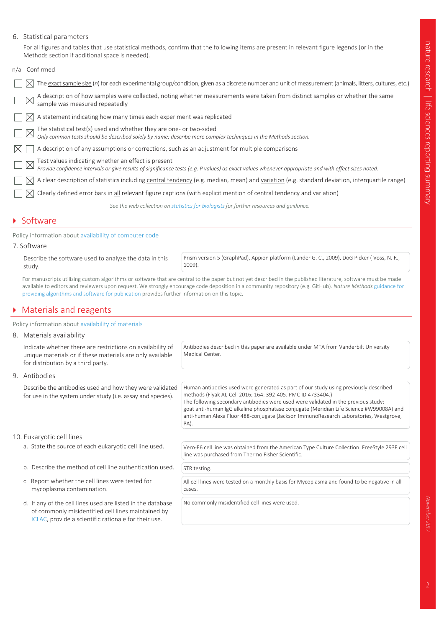#### 6. Statistical parameters

For all figures and tables that use statistical methods, confirm that the following items are present in relevant figure legends (or in the Methods section if additional space is needed).

| n/a | Confirmed                                                                                                                                                                                                   |
|-----|-------------------------------------------------------------------------------------------------------------------------------------------------------------------------------------------------------------|
|     | The exact sample size (n) for each experimental group/condition, given as a discrete number and unit of measurement (animals, litters, cultures, etc.)                                                      |
|     | A description of how samples were collected, noting whether measurements were taken from distinct samples or whether the same<br>sample was measured repeatedly                                             |
|     | A statement indicating how many times each experiment was replicated                                                                                                                                        |
|     | The statistical test(s) used and whether they are one- or two-sided<br>Only common tests should be described solely by name; describe more complex techniques in the Methods section.                       |
|     | A description of any assumptions or corrections, such as an adjustment for multiple comparisons                                                                                                             |
|     | Test values indicating whether an effect is present<br>Provide confidence intervals or give results of significance tests (e.g. P values) as exact values whenever appropriate and with effect sizes noted. |
|     | A clear description of statistics including central tendency (e.g. median, mean) and variation (e.g. standard deviation, interquartile range)                                                               |
|     | Clearly defined error bars in all relevant figure captions (with explicit mention of central tendency and variation)                                                                                        |
|     | See the web collection on statistics for biologists for further resources and guidance.                                                                                                                     |

#### **Software**

#### Policy information about availability of computer code

#### 7. Software

Describe the software used to analyze the data in this study.

Prism version 5 (GraphPad), Appion platform (Lander G. C., 2009), DoG Picker ( Voss, N. R., 1009).

For manuscripts utilizing custom algorithms or software that are central to the paper but not yet described in the published literature, software must be made available to editors and reviewers upon request. We strongly encourage code deposition in a community repository (e.g. GitHub). *Nature Methods* guidance for providing algorithms and software for publication provides further information on this topic.

#### $\triangleright$  Materials and reagents

Policy information about availability of materials

#### 8. Materials availability

Indicate whether there are restrictions on availability of unique materials or if these materials are only available for distribution by a third party.

Antibodies described in this paper are available under MTA from Vanderbilt University Medical Center.

Human antibodies used were generated as part of our study using previously described

The following secondary antibodies were used were validated in the previous study: goat anti-human IgG alkaline phosphatase conjugate (Meridian Life Science #W99008A) and anti-human Alexa Fluor 488-conjugate (Jackson ImmunoResearch Laboratories, Westgrove,

methods (Flyak AI, Cell 2016; 164: 392-405. PMC ID 4733404.)

9. Antibodies

Describe the antibodies used and how they were validated for use in the system under study (i.e. assay and species).

#### 10. Eukaryotic cell lines

- 
- b. Describe the method of cell line authentication used.  $\int$  STR testing.
- c. Report whether the cell lines were tested for mycoplasma contamination.
- d. If any of the cell lines used are listed in the database of commonly misidentified cell lines maintained by ICLAC, provide a scientific rationale for their use.

a. State the source of each eukaryotic cell line used. Vero-E6 cell line was obtained from the American Type Culture Collection. FreeStyle 293F cell line was purchased from Thermo Fisher Scientific.

PA).

All cell lines were tested on a monthly basis for Mycoplasma and found to be negative in all cases.

No commonly misidentified cell lines were used.